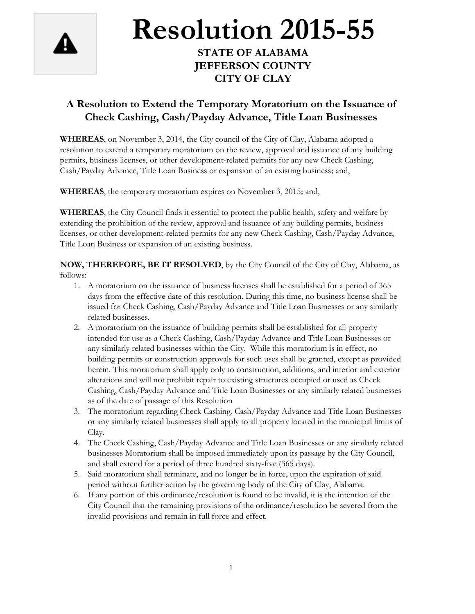

## **Resolution 2015-55**

## **STATE OF ALABAMA JEFFERSON COUNTY CITY OF CLAY**

## **A Resolution to Extend the Temporary Moratorium on the Issuance of Check Cashing, Cash/Payday Advance, Title Loan Businesses**

**WHEREAS**, on November 3, 2014, the City council of the City of Clay, Alabama adopted a resolution to extend a temporary moratorium on the review, approval and issuance of any building permits, business licenses, or other development-related permits for any new Check Cashing, Cash/Payday Advance, Title Loan Business or expansion of an existing business; and,

**WHEREAS**, the temporary moratorium expires on November 3, 2015; and,

**WHEREAS**, the City Council finds it essential to protect the public health, safety and welfare by extending the prohibition of the review, approval and issuance of any building permits, business licenses, or other development-related permits for any new Check Cashing, Cash/Payday Advance, Title Loan Business or expansion of an existing business.

**NOW, THEREFORE, BE IT RESOLVED**, by the City Council of the City of Clay, Alabama, as follows:

- 1. A moratorium on the issuance of business licenses shall be established for a period of 365 days from the effective date of this resolution. During this time, no business license shall be issued for Check Cashing, Cash/Payday Advance and Title Loan Businesses or any similarly related businesses.
- 2. A moratorium on the issuance of building permits shall be established for all property intended for use as a Check Cashing, Cash/Payday Advance and Title Loan Businesses or any similarly related businesses within the City. While this moratorium is in effect, no building permits or construction approvals for such uses shall be granted, except as provided herein. This moratorium shall apply only to construction, additions, and interior and exterior alterations and will not prohibit repair to existing structures occupied or used as Check Cashing, Cash/Payday Advance and Title Loan Businesses or any similarly related businesses as of the date of passage of this Resolution
- 3. The moratorium regarding Check Cashing, Cash/Payday Advance and Title Loan Businesses or any similarly related businesses shall apply to all property located in the municipal limits of Clay.
- 4. The Check Cashing, Cash/Payday Advance and Title Loan Businesses or any similarly related businesses Moratorium shall be imposed immediately upon its passage by the City Council, and shall extend for a period of three hundred sixty-five (365 days).
- 5. Said moratorium shall terminate, and no longer be in force, upon the expiration of said period without further action by the governing body of the City of Clay, Alabama.
- 6. If any portion of this ordinance/resolution is found to be invalid, it is the intention of the City Council that the remaining provisions of the ordinance/resolution be severed from the invalid provisions and remain in full force and effect.